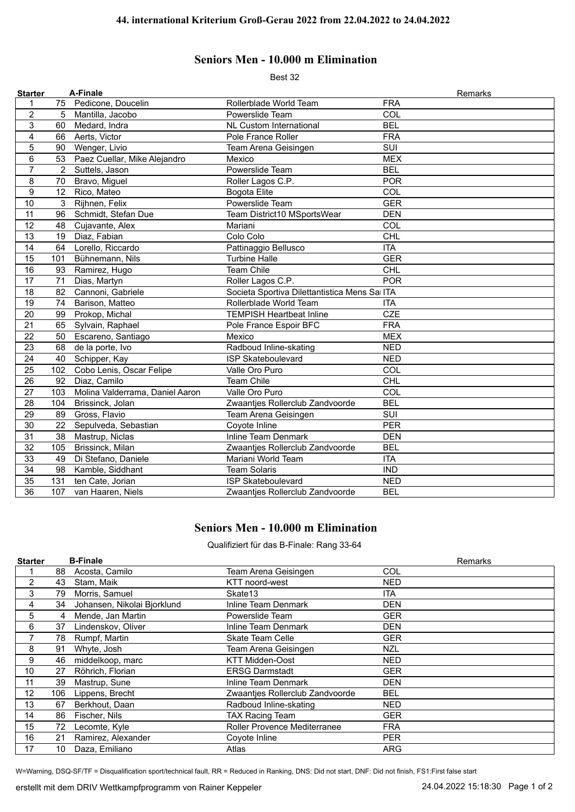## **Seniors Men - 10.000 m Elimination**

Best 32

| <b>Starter</b> |     | A-Finale                        |                                              | Remarks                 |
|----------------|-----|---------------------------------|----------------------------------------------|-------------------------|
| 1              |     | 75 Pedicone, Doucelin           | Rollerblade World Team                       | <b>FRA</b>              |
| $\overline{c}$ | 5   | Mantilla, Jacobo                | Powerslide Team                              | COL                     |
| 3              | 60  | Medard, Indra                   | <b>NL Custom International</b>               | <b>BEL</b>              |
| $\overline{4}$ | 66  | Aerts, Victor                   | Pole France Roller                           | <b>FRA</b>              |
| 5              | 90  | Wenger, Livio                   | Team Arena Geisingen                         | $\overline{\text{SUI}}$ |
| 6              | 53  | Paez Cuellar, Mike Alejandro    | Mexico                                       | <b>MEX</b>              |
| $\overline{7}$ | 2   | Suttels, Jason                  | Powerslide Team                              | <b>BEL</b>              |
| 8              | 70  | Bravo, Miguel                   | Roller Lagos C.P.                            | <b>POR</b>              |
| 9              | 12  | Rico, Mateo                     | <b>Bogota Elite</b>                          | COL                     |
| 10             | 3   | Rijhnen, Felix                  | Powerslide Team                              | <b>GER</b>              |
| 11             | 96  | Schmidt, Stefan Due             | Team District10 MSportsWear                  | <b>DEN</b>              |
| 12             | 48  | Cujavante, Alex                 | Mariani                                      | COL                     |
| 13             | 19  | Diaz, Fabian                    | Colo Colo                                    | <b>CHL</b>              |
| 14             | 64  | Lorello, Riccardo               | Pattinaggio Bellusco                         | <b>ITA</b>              |
| 15             | 101 | Bühnemann, Nils                 | <b>Turbine Halle</b>                         | <b>GER</b>              |
| 16             | 93  | Ramirez, Hugo                   | Team Chile                                   | <b>CHL</b>              |
| 17             | 71  | Dias, Martyn                    | Roller Lagos C.P.                            | <b>POR</b>              |
| 18             | 82  | Cannoni, Gabriele               | Societa Sportiva Dilettantistica Mens Sa ITA |                         |
| 19             | 74  | Barison, Matteo                 | Rollerblade World Team                       | <b>ITA</b>              |
| 20             | 99  | Prokop, Michal                  | <b>TEMPISH Heartbeat Inline</b>              | <b>CZE</b>              |
| 21             | 65  | Sylvain, Raphael                | Pole France Espoir BFC                       | <b>FRA</b>              |
| 22             | 50  | Escareno, Santiago              | Mexico                                       | <b>MEX</b>              |
| 23             | 68  | de la porte, Ivo                | Radboud Inline-skating                       | <b>NED</b>              |
| 24             | 40  | Schipper, Kay                   | <b>ISP Skateboulevard</b>                    | <b>NED</b>              |
| 25             | 102 | Cobo Lenis, Oscar Felipe        | Valle Oro Puro                               | COL                     |
| 26             | 92  | Diaz, Camilo                    | <b>Team Chile</b>                            | <b>CHL</b>              |
| 27             | 103 | Molina Valderrama, Daniel Aaron | Valle Oro Puro                               | COL                     |
| 28             | 104 | Brissinck, Jolan                | Zwaantjes Rollerclub Zandvoorde              | <b>BEL</b>              |
| 29             | 89  | Gross, Flavio                   | Team Arena Geisingen                         | SUI                     |
| 30             | 22  | Sepulveda, Sebastian            | Coyote Inline                                | <b>PER</b>              |
| 31             | 38  | Mastrup, Niclas                 | <b>Inline Team Denmark</b>                   | <b>DEN</b>              |
| 32             | 105 | Brissinck, Milan                | Zwaantjes Rollerclub Zandvoorde              | <b>BEL</b>              |
| 33             | 49  | Di Stefano, Daniele             | Mariani World Team                           | <b>ITA</b>              |
| 34             | 98  | Kamble, Siddhant                | <b>Team Solaris</b>                          | <b>IND</b>              |
| 35             | 131 | ten Cate, Jorian                | <b>ISP Skateboulevard</b>                    | <b>NED</b>              |
| 36             | 107 | van Haaren, Niels               | Zwaanties Rollerclub Zandvoorde              | <b>BEL</b>              |

## **Seniors Men - 10.000 m Elimination**

Qualifiziert für das B-Finale: Rang 33-64

| <b>Starter</b> |     | <b>B-Finale</b>             |                                     | Remarks    |
|----------------|-----|-----------------------------|-------------------------------------|------------|
|                | 88  | Acosta, Camilo              | Team Arena Geisingen                | COL        |
| 2              | 43  | Stam, Maik                  | KTT noord-west                      | <b>NED</b> |
| 3              | 79  | Morris, Samuel              | Skate13                             | <b>ITA</b> |
| 4              | 34  | Johansen, Nikolai Bjorklund | Inline Team Denmark                 | <b>DEN</b> |
| 5              | 4   | Mende, Jan Martin           | Powerslide Team                     | <b>GER</b> |
| 6              | 37  | Lindenskov, Oliver          | Inline Team Denmark                 | <b>DEN</b> |
|                | 78  | Rumpf, Martin               | <b>Skate Team Celle</b>             | <b>GER</b> |
| 8              | 91  | Whyte, Josh                 | Team Arena Geisingen                | NZL        |
| 9              | 46  | middelkoop, marc            | <b>KTT Midden-Oost</b>              | <b>NED</b> |
| 10             | 27  | Röhrich, Florian            | <b>ERSG Darmstadt</b>               | <b>GER</b> |
| 11             | 39  | Mastrup, Sune               | Inline Team Denmark                 | <b>DEN</b> |
| 12             | 106 | Lippens, Brecht             | Zwaanties Rollerclub Zandvoorde     | <b>BEL</b> |
| 13             | 67  | Berkhout, Daan              | Radboud Inline-skating              | NED        |
| 14             | 86  | Fischer, Nils               | <b>TAX Racing Team</b>              | <b>GER</b> |
| 15             | 72  | Lecomte, Kyle               | <b>Roller Provence Mediterranee</b> | <b>FRA</b> |
| 16             | 21  | Ramirez, Alexander          | Coyote Inline                       | <b>PER</b> |
| 17             | 10  | Daza, Emiliano              | Atlas                               | ARG        |

W=Warning, DSQ-SF/TF = Disqualification sport/technical fault, RR = Reduced in Ranking, DNS: Did not start, DNF: Did not finish, FS1:First false start